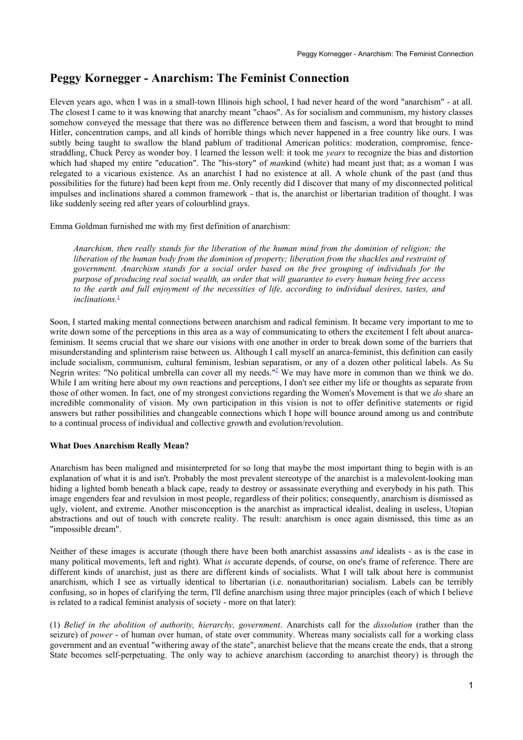# **Peggy Kornegger - Anarchism: The Feminist Connection**

Eleven years ago, when I was in a small-town Illinois high school, I had never heard of the word "anarchism" - at all. The closest I came to it was knowing that anarchy meant "chaos". As for socialism and communism, my history classes somehow conveyed the message that there was no difference between them and fascism, a word that brought to mind Hitler, concentration camps, and all kinds of horrible things which never happened in a free country like ours. I was subtly being taught to swallow the bland pablum of traditional American politics: moderation, compromise, fencestraddling, Chuck Percy as wonder boy. I learned the lesson well: it took me *years* to recognize the bias and distortion which had shaped my entire "education". The "his-story" of *man*kind (white) had meant just that; as a woman I was relegated to a vicarious existence. As an anarchist I had no existence at all. A whole chunk of the past (and thus possibilities for the future) had been kept from me. Only recently did I discover that many of my disconnected political impulses and inclinations shared a common framework - that is, the anarchist or libertarian tradition of thought. I was like suddenly seeing red after years of colourblind grays.

Emma Goldman furnished me with my first definition of anarchism:

*Anarchism, then really stands for the liberation of the human mind from the dominion of religion; the liberation of the human body from the dominion of property; liberation from the shackles and restraint of government. Anarchism stands for a social order based on the free grouping of individuals for the purpose of producing real social wealth, an order that will guarantee to every human being free access to the earth and full enjoyment of the necessities of life, according to individual desires, tastes, and inclinations.* [1](http://web.archive.org/web/20040104213814/http:/www.cluefactory.org.uk/ace/rumours/kornegge.html#note1)

Soon, I started making mental connections between anarchism and radical feminism. It became very important to me to write down some of the perceptions in this area as a way of communicating to others the excitement I felt about anarcafeminism. It seems crucial that we share our visions with one another in order to break down some of the barriers that misunderstanding and splinterism raise between us. Although I call myself an anarca-feminist, this definition can easily include socialism, communism, cultural feminism, lesbian separatism, or any of a dozen other political labels. As Su Negrin writes: "No political umbrella can cover all my needs."[2](http://web.archive.org/web/20040104213814/http:/www.cluefactory.org.uk/ace/rumours/kornegge.html#note2) We may have more in common than we think we do. While I am writing here about my own reactions and perceptions, I don't see either my life or thoughts as separate from those of other women. In fact, one of my strongest convictions regarding the Women's Movement is that we *do* share an incredible commonality of vision. My own participation in this vision is not to offer definitive statements or rigid answers but rather possibilities and changeable connections which I hope will bounce around among us and contribute to a continual process of individual and collective growth and evolution/revolution.

# **What Does Anarchism Really Mean?**

Anarchism has been maligned and misinterpreted for so long that maybe the most important thing to begin with is an explanation of what it is and isn't. Probably the most prevalent stereotype of the anarchist is a malevolent-looking man hiding a lighted bomb beneath a black cape, ready to destroy or assassinate everything and everybody in his path. This image engenders fear and revulsion in most people, regardless of their politics; consequently, anarchism is dismissed as ugly, violent, and extreme. Another misconception is the anarchist as impractical idealist, dealing in useless, Utopian abstractions and out of touch with concrete reality. The result: anarchism is once again dismissed, this time as an "impossible dream".

Neither of these images is accurate (though there have been both anarchist assassins *and* idealists - as is the case in many political movements, left and right). What *is* accurate depends, of course, on one's frame of reference. There are different kinds of anarchist, just as there are different kinds of socialists. What I will talk about here is communist anarchism, which I see as virtually identical to libertarian (i.e. nonauthoritarian) socialism. Labels can be terribly confusing, so in hopes of clarifying the term, I'll define anarchism using three major principles (each of which I believe is related to a radical feminist analysis of society - more on that later):

(1) *Belief in the abolition of authority, hierarchy, government*. Anarchists call for the *dissolution* (rather than the seizure) of *power* - of human over human, of state over community. Whereas many socialists call for a working class government and an eventual "withering away of the state", anarchist believe that the means create the ends, that a strong State becomes self-perpetuating. The only way to achieve anarchism (according to anarchist theory) is through the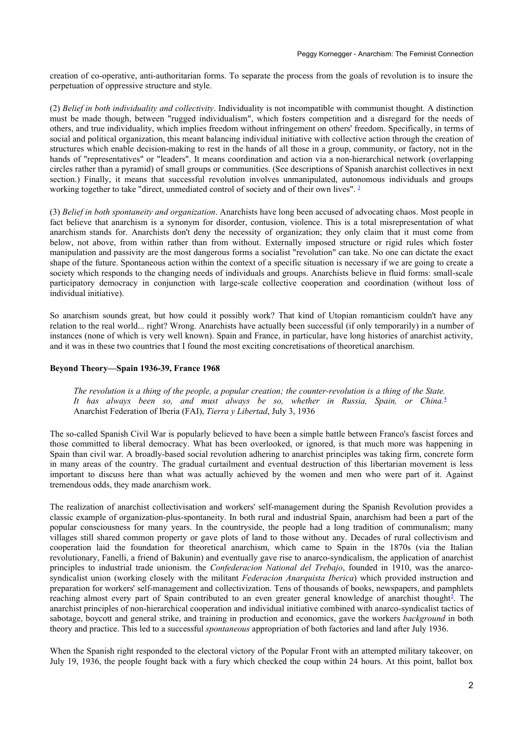creation of co-operative, anti-authoritarian forms. To separate the process from the goals of revolution is to insure the perpetuation of oppressive structure and style.

(2) *Belief in both individuality and collectivity*. Individuality is not incompatible with communist thought. A distinction must be made though, between "rugged individualism", which fosters competition and a disregard for the needs of others, and true individuality, which implies freedom without infringement on others' freedom. Specifically, in terms of social and political organization, this meant balancing individual initiative with collective action through the creation of structures which enable decision-making to rest in the hands of all those in a group, community, or factory, not in the hands of "representatives" or "leaders". It means coordination and action via a non-hierarchical network (overlapping circles rather than a pyramid) of small groups or communities. (See descriptions of Spanish anarchist collectives in next section.) Finally, it means that successful revolution involves unmanipulated, autonomous individuals and groups working together to take "direct, unmediated control of society and of their own lives".<sup>[3](http://web.archive.org/web/20040104213814/http:/www.cluefactory.org.uk/ace/rumours/kornegge.html#note3)</sup>

(3) *Belief in both spontaneity and organization*. Anarchists have long been accused of advocating chaos. Most people in fact believe that anarchism is a synonym for disorder, contusion, violence. This is a total misrepresentation of what anarchism stands for. Anarchists don't deny the necessity of organization; they only claim that it must come from below, not above, from within rather than from without. Externally imposed structure or rigid rules which foster manipulation and passivity are the most dangerous forms a socialist "revolution" can take. No one can dictate the exact shape of the future. Spontaneous action within the context of a specific situation is necessary if we are going to create a society which responds to the changing needs of individuals and groups. Anarchists believe in fluid forms: small-scale participatory democracy in conjunction with large-scale collective cooperation and coordination (without loss of individual initiative).

So anarchism sounds great, but how could it possibly work? That kind of Utopian romanticism couldn't have any relation to the real world... right? Wrong. Anarchists have actually been successful (if only temporarily) in a number of instances (none of which is very well known). Spain and France, in particular, have long histories of anarchist activity, and it was in these two countries that I found the most exciting concretisations of theoretical anarchism.

#### **Beyond Theory—Spain 1936-39, France 1968**

The revolution is a thing of the people, a popular creation; the counter-revolution is a thing of the State. *It has always been so, and must always be so, whether in Russia, Spain, or China.*[4](http://web.archive.org/web/20040104213814/http:/www.cluefactory.org.uk/ace/rumours/kornegge.html#note4) Anarchist Federation of Iberia (FAI), *Tierra y Libertad*, July 3, 1936

The so-called Spanish Civil War is popularly believed to have been a simple battle between Franco's fascist forces and those committed to liberal democracy. What has been overlooked, or ignored, is that much more was happening in Spain than civil war. A broadly-based social revolution adhering to anarchist principles was taking firm, concrete form in many areas of the country. The gradual curtailment and eventual destruction of this libertarian movement is less important to discuss here than what was actually achieved by the women and men who were part of it. Against tremendous odds, they made anarchism work.

The realization of anarchist collectivisation and workers' self-management during the Spanish Revolution provides a classic example of organization-plus-spontaneity. In both rural and industrial Spain, anarchism had been a part of the popular consciousness for many years. In the countryside, the people had a long tradition of communalism; many villages still shared common property or gave plots of land to those without any. Decades of rural collectivism and cooperation laid the foundation for theoretical anarchism, which came to Spain in the 1870s (via the Italian revolutionary, Fanelli, a friend of Bakunin) and eventually gave rise to anarco-syndicalism, the application of anarchist principles to industrial trade unionism. the *Confederacion National del Trebajo*, founded in 1910, was the anarcosyndicalist union (working closely with the militant *Federacion Anarquista Iberica*) which provided instruction and preparation for workers' self-management and collectivization. Tens of thousands of books, newspapers, and pamphlets reaching almost every part of Spain contributed to an even greater general knowledge of anarchist thought<sup>[5](http://web.archive.org/web/20040104213814/http:/www.cluefactory.org.uk/ace/rumours/kornegge.html#note5)</sup>. The anarchist principles of non-hierarchical cooperation and individual initiative combined with anarco-syndicalist tactics of sabotage, boycott and general strike, and training in production and economics, gave the workers *background* in both theory and practice. This led to a successful *spontaneous* appropriation of both factories and land after July 1936.

When the Spanish right responded to the electoral victory of the Popular Front with an attempted military takeover, on July 19, 1936, the people fought back with a fury which checked the coup within 24 hours. At this point, ballot box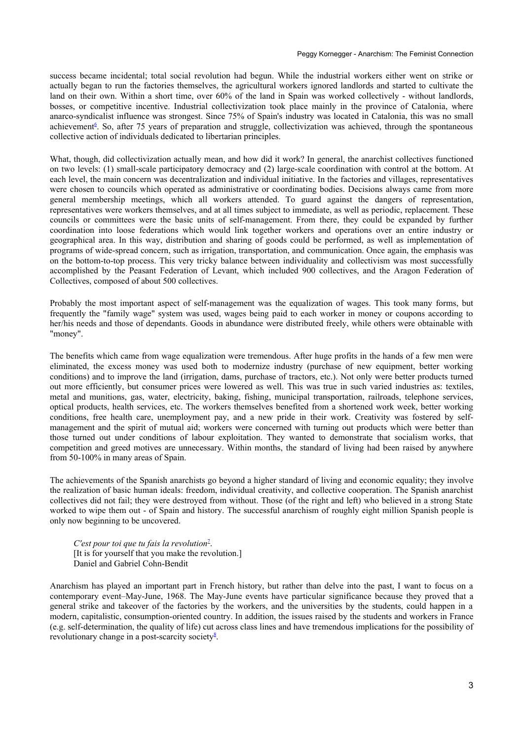success became incidental; total social revolution had begun. While the industrial workers either went on strike or actually began to run the factories themselves, the agricultural workers ignored landlords and started to cultivate the land on their own. Within a short time, over 60% of the land in Spain was worked collectively - without landlords, bosses, or competitive incentive. Industrial collectivization took place mainly in the province of Catalonia, where anarco-syndicalist influence was strongest. Since 75% of Spain's industry was located in Catalonia, this was no small achievement<sup>[6](http://web.archive.org/web/20040104213814/http:/www.cluefactory.org.uk/ace/rumours/kornegge.html#note6)</sup>. So, after 75 years of preparation and struggle, collectivization was achieved, through the spontaneous collective action of individuals dedicated to libertarian principles.

What, though, did collectivization actually mean, and how did it work? In general, the anarchist collectives functioned on two levels: (1) small-scale participatory democracy and (2) large-scale coordination with control at the bottom. At each level, the main concern was decentralization and individual initiative. In the factories and villages, representatives were chosen to councils which operated as administrative or coordinating bodies. Decisions always came from more general membership meetings, which all workers attended. To guard against the dangers of representation, representatives were workers themselves, and at all times subject to immediate, as well as periodic, replacement. These councils or committees were the basic units of self-management. From there, they could be expanded by further coordination into loose federations which would link together workers and operations over an entire industry or geographical area. In this way, distribution and sharing of goods could be performed, as well as implementation of programs of wide-spread concern, such as irrigation, transportation, and communication. Once again, the emphasis was on the bottom-to-top process. This very tricky balance between individuality and collectivism was most successfully accomplished by the Peasant Federation of Levant, which included 900 collectives, and the Aragon Federation of Collectives, composed of about 500 collectives.

Probably the most important aspect of self-management was the equalization of wages. This took many forms, but frequently the "family wage" system was used, wages being paid to each worker in money or coupons according to her/his needs and those of dependants. Goods in abundance were distributed freely, while others were obtainable with "money".

The benefits which came from wage equalization were tremendous. After huge profits in the hands of a few men were eliminated, the excess money was used both to modernize industry (purchase of new equipment, better working conditions) and to improve the land (irrigation, dams, purchase of tractors, etc.). Not only were better products turned out more efficiently, but consumer prices were lowered as well. This was true in such varied industries as: textiles, metal and munitions, gas, water, electricity, baking, fishing, municipal transportation, railroads, telephone services, optical products, health services, etc. The workers themselves benefited from a shortened work week, better working conditions, free health care, unemployment pay, and a new pride in their work. Creativity was fostered by selfmanagement and the spirit of mutual aid; workers were concerned with turning out products which were better than those turned out under conditions of labour exploitation. They wanted to demonstrate that socialism works, that competition and greed motives are unnecessary. Within months, the standard of living had been raised by anywhere from 50-100% in many areas of Spain.

The achievements of the Spanish anarchists go beyond a higher standard of living and economic equality; they involve the realization of basic human ideals: freedom, individual creativity, and collective cooperation. The Spanish anarchist collectives did not fail; they were destroyed from without. Those (of the right and left) who believed in a strong State worked to wipe them out - of Spain and history. The successful anarchism of roughly eight million Spanish people is only now beginning to be uncovered.

*C'est pour toi que tu fais la revolution*<sup>2</sup>. [It is for yourself that you make the revolution.] Daniel and Gabriel Cohn-Bendit

Anarchism has played an important part in French history, but rather than delve into the past, I want to focus on a contemporary event–May-June, 1968. The May-June events have particular significance because they proved that a general strike and takeover of the factories by the workers, and the universities by the students, could happen in a modern, capitalistic, consumption-oriented country. In addition, the issues raised by the students and workers in France (e.g. self-determination, the quality of life) cut across class lines and have tremendous implications for the possibility of revolutionary change in a post-scarcity society<sup>[8](http://web.archive.org/web/20040104213814/http:/www.cluefactory.org.uk/ace/rumours/kornegge.html#note8)</sup>.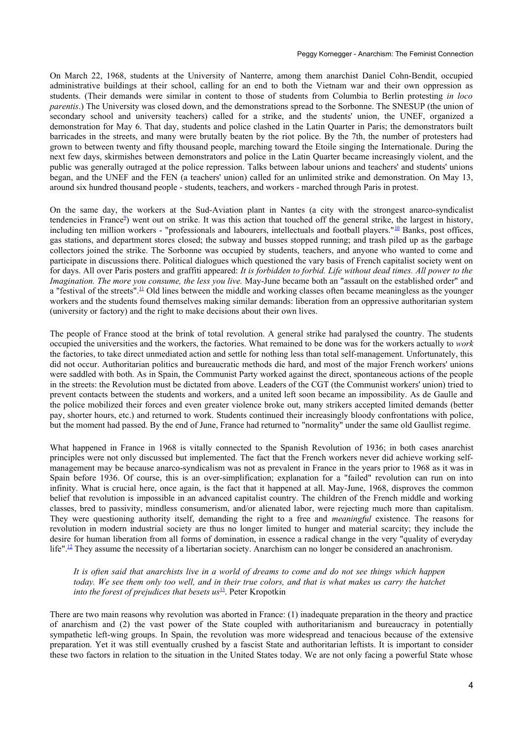On March 22, 1968, students at the University of Nanterre, among them anarchist Daniel Cohn-Bendit, occupied administrative buildings at their school, calling for an end to both the Vietnam war and their own oppression as students. (Their demands were similar in content to those of students from Columbia to Berlin protesting *in loco parentis*.) The University was closed down, and the demonstrations spread to the Sorbonne. The SNESUP (the union of secondary school and university teachers) called for a strike, and the students' union, the UNEF, organized a demonstration for May 6. That day, students and police clashed in the Latin Quarter in Paris; the demonstrators built barricades in the streets, and many were brutally beaten by the riot police. By the 7th, the number of protesters had grown to between twenty and fifty thousand people, marching toward the Etoile singing the Internationale. During the next few days, skirmishes between demonstrators and police in the Latin Quarter became increasingly violent, and the public was generally outraged at the police repression. Talks between labour unions and teachers' and students' unions began, and the UNEF and the FEN (a teachers' union) called for an unlimited strike and demonstration. On May 13, around six hundred thousand people - students, teachers, and workers - marched through Paris in protest.

On the same day, the workers at the Sud-Aviation plant in Nantes (a city with the strongest anarco-syndicalist tendencies in France [9](http://web.archive.org/web/20040104213814/http:/www.cluefactory.org.uk/ace/rumours/kornegge.html#note9) ) went out on strike. It was this action that touched off the general strike, the largest in history, including ten million workers - "professionals and labourers, intellectuals and football players."<sup>[10](http://web.archive.org/web/20040104213814/http:/www.cluefactory.org.uk/ace/rumours/kornegge.html#note10)</sup> Banks, post offices, gas stations, and department stores closed; the subway and busses stopped running; and trash piled up as the garbage collectors joined the strike. The Sorbonne was occupied by students, teachers, and anyone who wanted to come and participate in discussions there. Political dialogues which questioned the vary basis of French capitalist society went on for days. All over Paris posters and graffiti appeared: *It is forbidden to forbid. Life without dead times. All power to the Imagination. The more you consume, the less you live.* May-June became both an "assault on the established order" and a "festival of the streets".<sup>[11](http://web.archive.org/web/20040104213814/http:/www.cluefactory.org.uk/ace/rumours/kornegge.html#note11)</sup> Old lines between the middle and working classes often became meaningless as the younger workers and the students found themselves making similar demands: liberation from an oppressive authoritarian system (university or factory) and the right to make decisions about their own lives.

The people of France stood at the brink of total revolution. A general strike had paralysed the country. The students occupied the universities and the workers, the factories. What remained to be done was for the workers actually to *work* the factories, to take direct unmediated action and settle for nothing less than total self-management. Unfortunately, this did not occur. Authoritarian politics and bureaucratic methods die hard, and most of the major French workers' unions were saddled with both. As in Spain, the Communist Party worked against the direct, spontaneous actions of the people in the streets: the Revolution must be dictated from above. Leaders of the CGT (the Communist workers' union) tried to prevent contacts between the students and workers, and a united left soon became an impossibility. As de Gaulle and the police mobilized their forces and even greater violence broke out, many strikers accepted limited demands (better pay, shorter hours, etc.) and returned to work. Students continued their increasingly bloody confrontations with police, but the moment had passed. By the end of June, France had returned to "normality" under the same old Gaullist regime.

What happened in France in 1968 is vitally connected to the Spanish Revolution of 1936; in both cases anarchist principles were not only discussed but implemented. The fact that the French workers never did achieve working selfmanagement may be because anarco-syndicalism was not as prevalent in France in the years prior to 1968 as it was in Spain before 1936. Of course, this is an over-simplification; explanation for a "failed" revolution can run on into infinity. What is crucial here, once again, is the fact that it happened at all. May-June, 1968, disproves the common belief that revolution is impossible in an advanced capitalist country. The children of the French middle and working classes, bred to passivity, mindless consumerism, and/or alienated labor, were rejecting much more than capitalism. They were questioning authority itself, demanding the right to a free and *meaningful* existence. The reasons for revolution in modern industrial society are thus no longer limited to hunger and material scarcity; they include the desire for human liberation from all forms of domination, in essence a radical change in the very "quality of everyday life".<sup>[12](http://web.archive.org/web/20040104213814/http:/www.cluefactory.org.uk/ace/rumours/kornegge.html#note12)</sup> They assume the necessity of a libertarian society. Anarchism can no longer be considered an anachronism.

It is often said that anarchists live in a world of dreams to come and do not see things which happen today. We see them only too well, and in their true colors, and that is what makes us carry the hatchet *into the forest of prejudices that besets us*<sup>[13](http://web.archive.org/web/20040104213814/http:/www.cluefactory.org.uk/ace/rumours/kornegge.html#note13)</sup>. Peter Kropotkin

There are two main reasons why revolution was aborted in France: (1) inadequate preparation in the theory and practice of anarchism and (2) the vast power of the State coupled with authoritarianism and bureaucracy in potentially sympathetic left-wing groups. In Spain, the revolution was more widespread and tenacious because of the extensive preparation. Yet it was still eventually crushed by a fascist State and authoritarian leftists. It is important to consider these two factors in relation to the situation in the United States today. We are not only facing a powerful State whose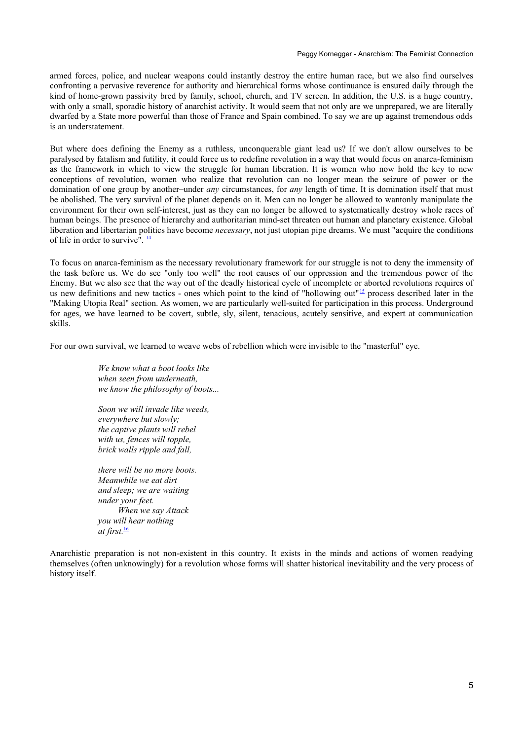armed forces, police, and nuclear weapons could instantly destroy the entire human race, but we also find ourselves confronting a pervasive reverence for authority and hierarchical forms whose continuance is ensured daily through the kind of home-grown passivity bred by family, school, church, and TV screen. In addition, the U.S. is a huge country, with only a small, sporadic history of anarchist activity. It would seem that not only are we unprepared, we are literally dwarfed by a State more powerful than those of France and Spain combined. To say we are up against tremendous odds is an understatement.

But where does defining the Enemy as a ruthless, unconquerable giant lead us? If we don't allow ourselves to be paralysed by fatalism and futility, it could force us to redefine revolution in a way that would focus on anarca-feminism as the framework in which to view the struggle for human liberation. It is women who now hold the key to new conceptions of revolution, women who realize that revolution can no longer mean the seizure of power or the domination of one group by another–under *any* circumstances, for *any* length of time. It is domination itself that must be abolished. The very survival of the planet depends on it. Men can no longer be allowed to wantonly manipulate the environment for their own self-interest, just as they can no longer be allowed to systematically destroy whole races of human beings. The presence of hierarchy and authoritarian mind-set threaten out human and planetary existence. Global liberation and libertarian politics have become *necessary*, not just utopian pipe dreams. We must "acquire the conditions of life in order to survive".  $\frac{14}{3}$  $\frac{14}{3}$  $\frac{14}{3}$ 

To focus on anarca-feminism as the necessary revolutionary framework for our struggle is not to deny the immensity of the task before us. We do see "only too well" the root causes of our oppression and the tremendous power of the Enemy. But we also see that the way out of the deadly historical cycle of incomplete or aborted revolutions requires of us new definitions and new tactics - ones which point to the kind of "hollowing out" $\frac{15}{2}$  $\frac{15}{2}$  $\frac{15}{2}$  process described later in the "Making Utopia Real" section. As women, we are particularly well-suited for participation in this process. Underground for ages, we have learned to be covert, subtle, sly, silent, tenacious, acutely sensitive, and expert at communication skills.

For our own survival, we learned to weave webs of rebellion which were invisible to the "masterful" eye.

 *We know what a boot looks like when seen from underneath, we know the philosophy of boots...*

 *Soon we will invade like weeds, everywhere but slowly; the captive plants will rebel with us, fences will topple, brick walls ripple and fall,*

 *there will be no more boots. Meanwhile we eat dirt and sleep; we are waiting under your feet. When we say Attack you will hear nothing at first.* [16](http://web.archive.org/web/20040104213814/http:/www.cluefactory.org.uk/ace/rumours/kornegge.html#note16)

Anarchistic preparation is not non-existent in this country. It exists in the minds and actions of women readying themselves (often unknowingly) for a revolution whose forms will shatter historical inevitability and the very process of history itself.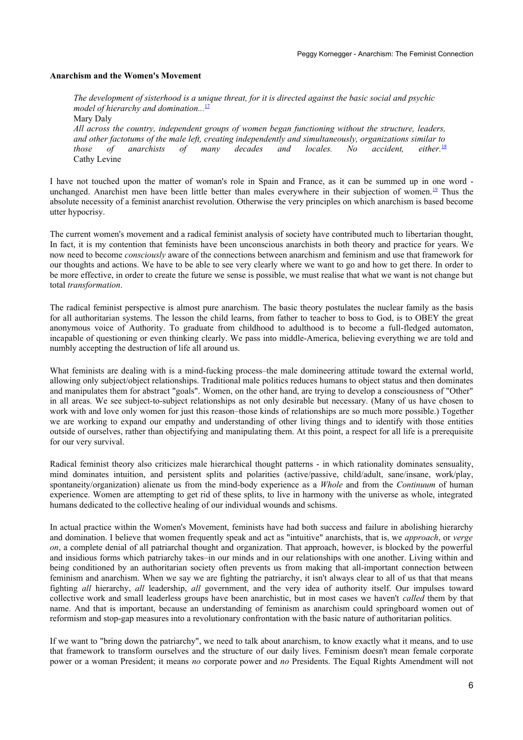### **Anarchism and the Women's Movement**

*The development of sisterhood is a unique threat, for it is directed against the basic social and psychic model of hierarchy and domination...*<sup>[17](http://web.archive.org/web/20040104213814/http:/www.cluefactory.org.uk/ace/rumours/kornegge.html#note17)</sup> Mary Daly *All across the country, independent groups of women began functioning without the structure, leaders, and other factotums of the male left, creating independently and simultaneously, organizations similar to those of anarchists of many decades and locales. No accident, either.*  $either$ <sup>[18](http://web.archive.org/web/20040104213814/http:/www.cluefactory.org.uk/ace/rumours/kornegge.html#note18)</sup> Cathy Levine

I have not touched upon the matter of woman's role in Spain and France, as it can be summed up in one word - unchanged. Anarchist men have been little better than males everywhere in their subjection of women.<sup>[19](http://web.archive.org/web/20040104213814/http:/www.cluefactory.org.uk/ace/rumours/kornegge.html#note19)</sup> Thus the absolute necessity of a feminist anarchist revolution. Otherwise the very principles on which anarchism is based become utter hypocrisy.

The current women's movement and a radical feminist analysis of society have contributed much to libertarian thought, In fact, it is my contention that feminists have been unconscious anarchists in both theory and practice for years. We now need to become *consciously* aware of the connections between anarchism and feminism and use that framework for our thoughts and actions. We have to be able to see very clearly where we want to go and how to get there. In order to be more effective, in order to create the future we sense is possible, we must realise that what we want is not change but total *transformation*.

The radical feminist perspective is almost pure anarchism. The basic theory postulates the nuclear family as the basis for all authoritarian systems. The lesson the child learns, from father to teacher to boss to God, is to OBEY the great anonymous voice of Authority. To graduate from childhood to adulthood is to become a full-fledged automaton, incapable of questioning or even thinking clearly. We pass into middle-America, believing everything we are told and numbly accepting the destruction of life all around us.

What feminists are dealing with is a mind-fucking process–the male domineering attitude toward the external world, allowing only subject/object relationships. Traditional male politics reduces humans to object status and then dominates and manipulates them for abstract "goals". Women, on the other hand, are trying to develop a consciousness of "Other" in all areas. We see subject-to-subject relationships as not only desirable but necessary. (Many of us have chosen to work with and love only women for just this reason–those kinds of relationships are so much more possible.) Together we are working to expand our empathy and understanding of other living things and to identify with those entities outside of ourselves, rather than objectifying and manipulating them. At this point, a respect for all life is a prerequisite for our very survival.

Radical feminist theory also criticizes male hierarchical thought patterns - in which rationality dominates sensuality, mind dominates intuition, and persistent splits and polarities (active/passive, child/adult, sane/insane, work/play, spontaneity/organization) alienate us from the mind-body experience as a *Whole* and from the *Continuum* of human experience. Women are attempting to get rid of these splits, to live in harmony with the universe as whole, integrated humans dedicated to the collective healing of our individual wounds and schisms.

In actual practice within the Women's Movement, feminists have had both success and failure in abolishing hierarchy and domination. I believe that women frequently speak and act as "intuitive" anarchists, that is, we *approach*, or *verge on*, a complete denial of all patriarchal thought and organization. That approach, however, is blocked by the powerful and insidious forms which patriarchy takes–in our minds and in our relationships with one another. Living within and being conditioned by an authoritarian society often prevents us from making that all-important connection between feminism and anarchism. When we say we are fighting the patriarchy, it isn't always clear to all of us that that means fighting *all* hierarchy, *all* leadership, *all* government, and the very idea of authority itself. Our impulses toward collective work and small leaderless groups have been anarchistic, but in most cases we haven't *called* them by that name. And that is important, because an understanding of feminism as anarchism could springboard women out of reformism and stop-gap measures into a revolutionary confrontation with the basic nature of authoritarian politics.

If we want to "bring down the patriarchy", we need to talk about anarchism, to know exactly what it means, and to use that framework to transform ourselves and the structure of our daily lives. Feminism doesn't mean female corporate power or a woman President; it means *no* corporate power and *no* Presidents. The Equal Rights Amendment will not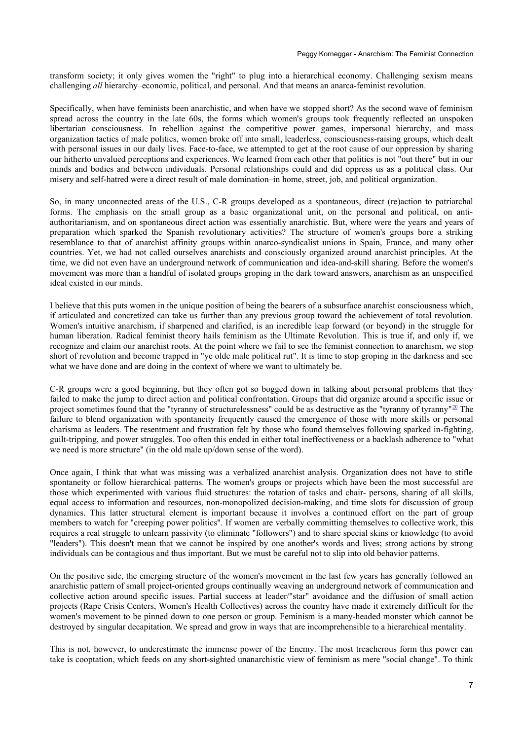transform society; it only gives women the "right" to plug into a hierarchical economy. Challenging sexism means challenging *all* hierarchy–economic, political, and personal. And that means an anarca-feminist revolution.

Specifically, when have feminists been anarchistic, and when have we stopped short? As the second wave of feminism spread across the country in the late 60s, the forms which women's groups took frequently reflected an unspoken libertarian consciousness. In rebellion against the competitive power games, impersonal hierarchy, and mass organization tactics of male politics, women broke off into small, leaderless, consciousness-raising groups, which dealt with personal issues in our daily lives. Face-to-face, we attempted to get at the root cause of our oppression by sharing our hitherto unvalued perceptions and experiences. We learned from each other that politics is not "out there" but in our minds and bodies and between individuals. Personal relationships could and did oppress us as a political class. Our misery and self-hatred were a direct result of male domination–in home, street, job, and political organization.

So, in many unconnected areas of the U.S., C-R groups developed as a spontaneous, direct (re)action to patriarchal forms. The emphasis on the small group as a basic organizational unit, on the personal and political, on antiauthoritarianism, and on spontaneous direct action was essentially anarchistic. But, where were the years and years of preparation which sparked the Spanish revolutionary activities? The structure of women's groups bore a striking resemblance to that of anarchist affinity groups within anarco-syndicalist unions in Spain, France, and many other countries. Yet, we had not called ourselves anarchists and consciously organized around anarchist principles. At the time, we did not even have an underground network of communication and idea-and-skill sharing. Before the women's movement was more than a handful of isolated groups groping in the dark toward answers, anarchism as an unspecified ideal existed in our minds.

I believe that this puts women in the unique position of being the bearers of a subsurface anarchist consciousness which, if articulated and concretized can take us further than any previous group toward the achievement of total revolution. Women's intuitive anarchism, if sharpened and clarified, is an incredible leap forward (or beyond) in the struggle for human liberation. Radical feminist theory hails feminism as the Ultimate Revolution. This is true if, and only if, we recognize and claim our anarchist roots. At the point where we fail to see the feminist connection to anarchism, we stop short of revolution and become trapped in "ye olde male political rut". It is time to stop groping in the darkness and see what we have done and are doing in the context of where we want to ultimately be.

C-R groups were a good beginning, but they often got so bogged down in talking about personal problems that they failed to make the jump to direct action and political confrontation. Groups that did organize around a specific issue or project sometimes found that the "tyranny of structurelessness" could be as destructive as the "tyranny of tyranny"<sup>[20](http://web.archive.org/web/20040104213814/http:/www.cluefactory.org.uk/ace/rumours/kornegge.html#note20)</sup> The failure to blend organization with spontaneity frequently caused the emergence of those with more skills or personal charisma as leaders. The resentment and frustration felt by those who found themselves following sparked in-fighting, guilt-tripping, and power struggles. Too often this ended in either total ineffectiveness or a backlash adherence to "what we need is more structure" (in the old male up/down sense of the word).

Once again, I think that what was missing was a verbalized anarchist analysis. Organization does not have to stifle spontaneity or follow hierarchical patterns. The women's groups or projects which have been the most successful are those which experimented with various fluid structures: the rotation of tasks and chair- persons, sharing of all skills, equal access to information and resources, non-monopolized decision-making, and time slots for discussion of group dynamics. This latter structural element is important because it involves a continued effort on the part of group members to watch for "creeping power politics". If women are verbally committing themselves to collective work, this requires a real struggle to unlearn passivity (to eliminate "followers") and to share special skins or knowledge (to avoid "leaders"). This doesn't mean that we cannot be inspired by one another's words and lives; strong actions by strong individuals can be contagious and thus important. But we must be careful not to slip into old behavior patterns.

On the positive side, the emerging structure of the women's movement in the last few years has generally followed an anarchistic pattern of small project-oriented groups continually weaving an underground network of communication and collective action around specific issues. Partial success at leader/"star" avoidance and the diffusion of small action projects (Rape Crisis Centers, Women's Health Collectives) across the country have made it extremely difficult for the women's movement to be pinned down to one person or group. Feminism is a many-headed monster which cannot be destroyed by singular decapitation. We spread and grow in ways that are incomprehensible to a hierarchical mentality.

This is not, however, to underestimate the immense power of the Enemy. The most treacherous form this power can take is cooptation, which feeds on any short-sighted unanarchistic view of feminism as mere "social change". To think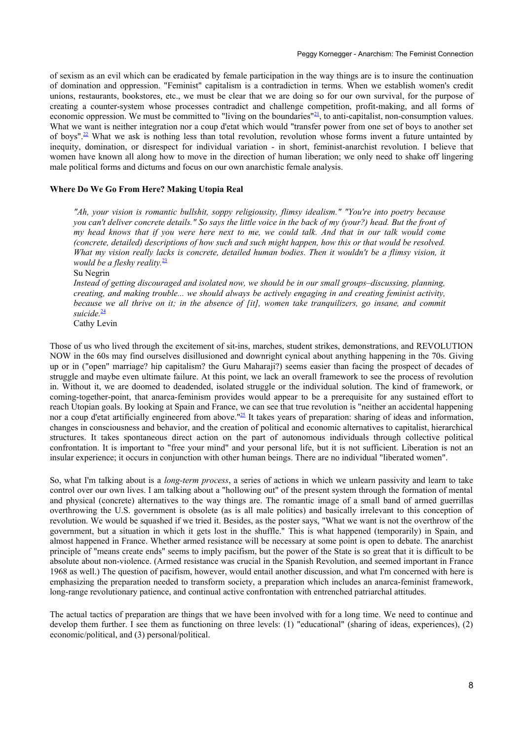of sexism as an evil which can be eradicated by female participation in the way things are is to insure the continuation of domination and oppression. "Feminist" capitalism is a contradiction in terms. When we establish women's credit unions, restaurants, bookstores, etc., we must be clear that we are doing so for our own survival, for the purpose of creating a counter-system whose processes contradict and challenge competition, profit-making, and all forms of economic oppression. We must be committed to "living on the boundaries"<sup>[21](http://web.archive.org/web/20040104213814/http:/www.cluefactory.org.uk/ace/rumours/kornegge.html#note21)</sup>, to anti-capitalist, non-consumption values. What we want is neither integration nor a coup d'etat which would "transfer power from one set of boys to another set of boys".<sup>[22](http://web.archive.org/web/20040104213814/http:/www.cluefactory.org.uk/ace/rumours/kornegge.html#note22)</sup> What we ask is nothing less than total revolution, revolution whose forms invent a future untainted by inequity, domination, or disrespect for individual variation - in short, feminist-anarchist revolution. I believe that women have known all along how to move in the direction of human liberation; we only need to shake off lingering male political forms and dictums and focus on our own anarchistic female analysis.

#### **Where Do We Go From Here? Making Utopia Real**

*"Ah, your vision is romantic bullshit, soppy religiousity, flimsy idealism." "You're into poetry because you can't deliver concrete details." So says the little voice in the back of my (your?) head. But the front of* my head knows that if you were here next to me, we could talk. And that in our talk would come *(concrete, detailed) descriptions of how such and such might happen, how this or that would be resolved.* What my vision really lacks is concrete, detailed human bodies. Then it wouldn't be a flimsy vision, it *would be a fleshy reality.* [23](http://web.archive.org/web/20040104213814/http:/www.cluefactory.org.uk/ace/rumours/kornegge.html#note23)

Su Negrin

*Instead of getting discouraged and isolated now, we should be in our small groups–discussing, planning, creating, and making trouble... we should always be actively engaging in and creating feminist activity,* because we all thrive on it; in the absence of [it], women take tranquilizers, go insane, and commit *suicide.* [24](http://web.archive.org/web/20040104213814/http:/www.cluefactory.org.uk/ace/rumours/kornegge.html#note24)

Cathy Levin

Those of us who lived through the excitement of sit-ins, marches, student strikes, demonstrations, and REVOLUTION NOW in the 60s may find ourselves disillusioned and downright cynical about anything happening in the 70s. Giving up or in ("open" marriage? hip capitalism? the Guru Maharaji?) seems easier than facing the prospect of decades of struggle and maybe even ultimate failure. At this point, we lack an overall framework to see the process of revolution in. Without it, we are doomed to deadended, isolated struggle or the individual solution. The kind of framework, or coming-together-point, that anarca-feminism provides would appear to be a prerequisite for any sustained effort to reach Utopian goals. By looking at Spain and France, we can see that true revolution is "neither an accidental happening nor a coup d'etat artificially engineered from above."<sup>[25](http://web.archive.org/web/20040104213814/http:/www.cluefactory.org.uk/ace/rumours/kornegge.html#note25)</sup> It takes years of preparation: sharing of ideas and information, changes in consciousness and behavior, and the creation of political and economic alternatives to capitalist, hierarchical structures. It takes spontaneous direct action on the part of autonomous individuals through collective political confrontation. It is important to "free your mind" and your personal life, but it is not sufficient. Liberation is not an insular experience; it occurs in conjunction with other human beings. There are no individual "liberated women".

So, what I'm talking about is a *long-term process*, a series of actions in which we unlearn passivity and learn to take control over our own lives. I am talking about a "hollowing out" of the present system through the formation of mental and physical (concrete) alternatives to the way things are. The romantic image of a small band of armed guerrillas overthrowing the U.S. government is obsolete (as is all male politics) and basically irrelevant to this conception of revolution. We would be squashed if we tried it. Besides, as the poster says, "What we want is not the overthrow of the government, but a situation in which it gets lost in the shuffle." This is what happened (temporarily) in Spain, and almost happened in France. Whether armed resistance will be necessary at some point is open to debate. The anarchist principle of "means create ends" seems to imply pacifism, but the power of the State is so great that it is difficult to be absolute about non-violence. (Armed resistance was crucial in the Spanish Revolution, and seemed important in France 1968 as well.) The question of pacifism, however, would entail another discussion, and what I'm concerned with here is emphasizing the preparation needed to transform society, a preparation which includes an anarca-feminist framework, long-range revolutionary patience, and continual active confrontation with entrenched patriarchal attitudes.

The actual tactics of preparation are things that we have been involved with for a long time. We need to continue and develop them further. I see them as functioning on three levels: (1) "educational" (sharing of ideas, experiences), (2) economic/political, and (3) personal/political.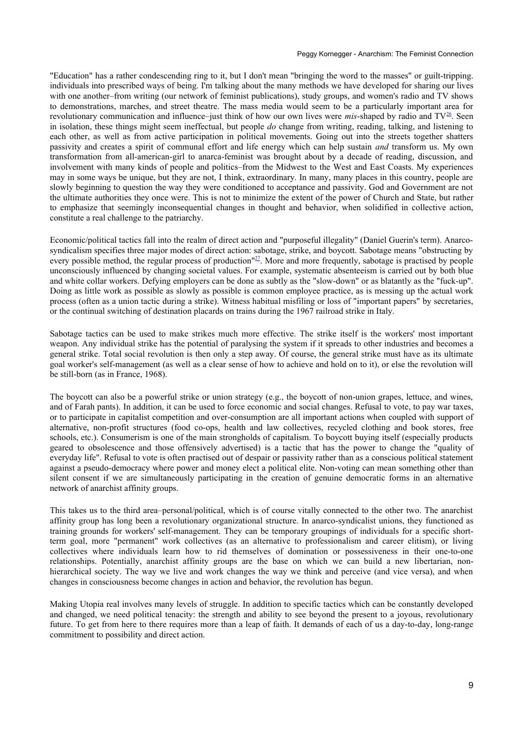"Education" has a rather condescending ring to it, but I don't mean "bringing the word to the masses" or guilt-tripping. individuals into prescribed ways of being. I'm talking about the many methods we have developed for sharing our lives with one another–from writing (our network of feminist publications), study groups, and women's radio and TV shows to demonstrations, marches, and street theatre. The mass media would seem to be a particularly important area for revolutionary communication and influence-just think of how our own lives were *mis*-shaped by radio and  $TV^{26}$  $TV^{26}$  $TV^{26}$ . Seen in isolation, these things might seem ineffectual, but people *do* change from writing, reading, talking, and listening to each other, as well as from active participation in political movements. Going out into the streets together shatters passivity and creates a spirit of communal effort and life energy which can help sustain *and* transform us. My own transformation from all-american-girl to anarca-feminist was brought about by a decade of reading, discussion, and involvement with many kinds of people and politics–from the Midwest to the West and East Coasts. My experiences may in some ways be unique, but they are not, I think, extraordinary. In many, many places in this country, people are slowly beginning to question the way they were conditioned to acceptance and passivity. God and Government are not the ultimate authorities they once were. This is not to minimize the extent of the power of Church and State, but rather to emphasize that seemingly inconsequential changes in thought and behavior, when solidified in collective action, constitute a real challenge to the patriarchy.

Economic/political tactics fall into the realm of direct action and "purposeful illegality" (Daniel Guerin's term). Anarcosyndicalism specifies three major modes of direct action: sabotage, strike, and boycott. Sabotage means "obstructing by every possible method, the regular process of production"<sup>[27](http://web.archive.org/web/20040104213814/http:/www.cluefactory.org.uk/ace/rumours/kornegge.html#note27)</sup>. More and more frequently, sabotage is practised by people unconsciously influenced by changing societal values. For example, systematic absenteeism is carried out by both blue and white collar workers. Defying employers can be done as subtly as the "slow-down" or as blatantly as the "fuck-up". Doing as little work as possible as slowly as possible is common employee practice, as is messing up the actual work process (often as a union tactic during a strike). Witness habitual misfiling or loss of "important papers" by secretaries, or the continual switching of destination placards on trains during the 1967 railroad strike in Italy.

Sabotage tactics can be used to make strikes much more effective. The strike itself is the workers' most important weapon. Any individual strike has the potential of paralysing the system if it spreads to other industries and becomes a general strike. Total social revolution is then only a step away. Of course, the general strike must have as its ultimate goal worker's self-management (as well as a clear sense of how to achieve and hold on to it), or else the revolution will be still-born (as in France, 1968).

The boycott can also be a powerful strike or union strategy (e.g., the boycott of non-union grapes, lettuce, and wines, and of Farah pants). In addition, it can be used to force economic and social changes. Refusal to vote, to pay war taxes, or to participate in capitalist competition and over-consumption are all important actions when coupled with support of alternative, non-profit structures (food co-ops, health and law collectives, recycled clothing and book stores, free schools, etc.). Consumerism is one of the main strongholds of capitalism. To boycott buying itself (especially products geared to obsolescence and those offensively advertised) is a tactic that has the power to change the "quality of everyday life". Refusal to vote is often practised out of despair or passivity rather than as a conscious political statement against a pseudo-democracy where power and money elect a political elite. Non-voting can mean something other than silent consent if we are simultaneously participating in the creation of genuine democratic forms in an alternative network of anarchist affinity groups.

This takes us to the third area–personal/political, which is of course vitally connected to the other two. The anarchist affinity group has long been a revolutionary organizational structure. In anarco-syndicalist unions, they functioned as training grounds for workers' self-management. They can be temporary groupings of individuals for a specific shortterm goal, more "permanent" work collectives (as an alternative to professionalism and career elitism), or living collectives where individuals learn how to rid themselves of domination or possessiveness in their one-to-one relationships. Potentially, anarchist affinity groups are the base on which we can build a new libertarian, nonhierarchical society. The way we live and work changes the way we think and perceive (and vice versa), and when changes in consciousness become changes in action and behavior, the revolution has begun.

Making Utopia real involves many levels of struggle. In addition to specific tactics which can be constantly developed and changed, we need political tenacity: the strength and ability to see beyond the present to a joyous, revolutionary future. To get from here to there requires more than a leap of faith. It demands of each of us a day-to-day, long-range commitment to possibility and direct action.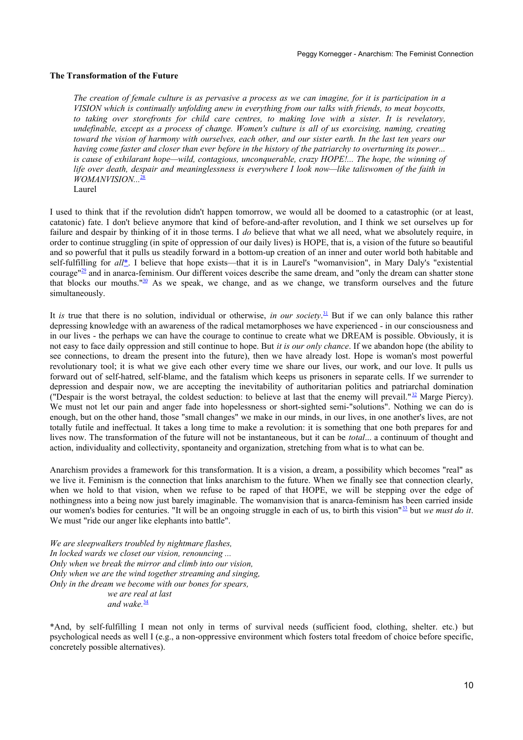#### **The Transformation of the Future**

The creation of female culture is as pervasive a process as we can imagine, for it is participation in a *VISION which is continually unfolding anew in everything from our talks with friends, to meat boycotts, to taking over storefronts for child care centres, to making love with a sister. It is revelatory, undefinable, except as a process of change. Women's culture is all of us exorcising, naming, creating* toward the vision of harmony with ourselves, each other, and our sister earth. In the last ten years our having come faster and closer than ever before in the history of the patriarchy to overturning its power... *is cause of exhilarant hope—wild, contagious, unconquerable, crazy HOPE!... The hope, the winning of life over death, despair and meaninglessness is everywhere I look now—like taliswomen of the faith in WOMANVISION...* [28](http://web.archive.org/web/20040104213814/http:/www.cluefactory.org.uk/ace/rumours/kornegge.html#note28) Laurel

I used to think that if the revolution didn't happen tomorrow, we would all be doomed to a catastrophic (or at least, catatonic) fate. I don't believe anymore that kind of before-and-after revolution, and I think we set ourselves up for failure and despair by thinking of it in those terms. I *do* believe that what we all need, what we absolutely require, in order to continue struggling (in spite of oppression of our daily lives) is HOPE, that is, a vision of the future so beautiful and so powerful that it pulls us steadily forward in a bottom-up creation of an inner and outer world both habitable and self-fulfilling for *all\**. I believe that hope exists—that it is in Laurel's "womanvision", in Mary Daly's "existential courage"<sup>[29](http://web.archive.org/web/20040104213814/http:/www.cluefactory.org.uk/ace/rumours/kornegge.html#note29)</sup> and in anarca-feminism. Our different voices describe the same dream, and "only the dream can shatter stone that blocks our mouths." $30$  As we speak, we change, and as we change, we transform ourselves and the future simultaneously.

It *is* true that there is no solution, individual or otherwise, *in our society*. [31](http://web.archive.org/web/20040104213814/http:/www.cluefactory.org.uk/ace/rumours/kornegge.html#note31) But if we can only balance this rather depressing knowledge with an awareness of the radical metamorphoses we have experienced - in our consciousness and in our lives - the perhaps we can have the courage to continue to create what we DREAM is possible. Obviously, it is not easy to face daily oppression and still continue to hope. But *it is our only chance*. If we abandon hope (the ability to see connections, to dream the present into the future), then we have already lost. Hope is woman's most powerful revolutionary tool; it is what we give each other every time we share our lives, our work, and our love. It pulls us forward out of self-hatred, self-blame, and the fatalism which keeps us prisoners in separate cells. If we surrender to depression and despair now, we are accepting the inevitability of authoritarian politics and patriarchal domination ("Despair is the worst betrayal, the coldest seduction: to believe at last that the enemy will prevail."  $^{32}$  $^{32}$  $^{32}$  Marge Piercy). We must not let our pain and anger fade into hopelessness or short-sighted semi-"solutions". Nothing we can do is enough, but on the other hand, those "small changes" we make in our minds, in our lives, in one another's lives, are not totally futile and ineffectual. It takes a long time to make a revolution: it is something that one both prepares for and lives now. The transformation of the future will not be instantaneous, but it can be *total*... a continuum of thought and action, individuality and collectivity, spontaneity and organization, stretching from what is to what can be.

Anarchism provides a framework for this transformation. It is a vision, a dream, a possibility which becomes "real" as we live it. Feminism is the connection that links anarchism to the future. When we finally see that connection clearly, when we hold to that vision, when we refuse to be raped of that HOPE, we will be stepping over the edge of nothingness into a being now just barely imaginable. The womanvision that is anarca-feminism has been carried inside our women's bodies for centuries. "It will be an ongoing struggle in each of us, to birth this vision"[33](http://web.archive.org/web/20040104213814/http:/www.cluefactory.org.uk/ace/rumours/kornegge.html#note33) but *we must do it*. We must "ride our anger like elephants into battle".

*We are sleepwalkers troubled by nightmare flashes, In locked wards we closet our vision, renouncing ... Only when we break the mirror and climb into our vision, Only when we are the wind together streaming and singing, Only in the dream we become with our bones for spears, we are real at last and wake.* [34](http://web.archive.org/web/20040104213814/http:/www.cluefactory.org.uk/ace/rumours/kornegge.html#note34)

\*And, by self-fulfilling I mean not only in terms of survival needs (sufficient food, clothing, shelter. etc.) but psychological needs as well I (e.g., a non-oppressive environment which fosters total freedom of choice before specific, concretely possible alternatives).